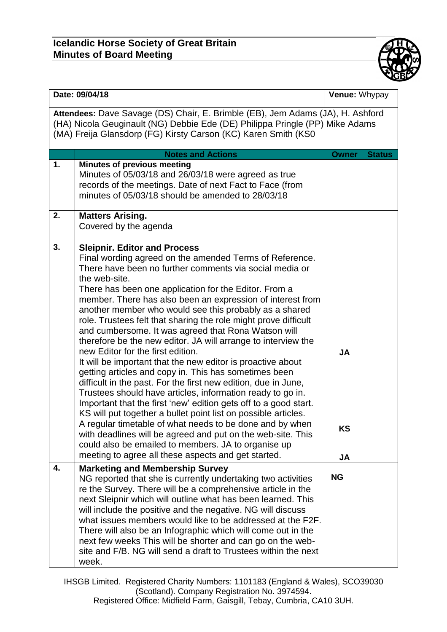

| Date: 09/04/18                                                                                                                                                                                                                   |                                                                                                                                                                                                                                                                                                                                                                                                                                                                                                                                                                                                                                                                                                                                                                                                                                                                                                                                                                                                                                                                                                                                                                                                                                    | Venue: Whypay                |               |  |  |
|----------------------------------------------------------------------------------------------------------------------------------------------------------------------------------------------------------------------------------|------------------------------------------------------------------------------------------------------------------------------------------------------------------------------------------------------------------------------------------------------------------------------------------------------------------------------------------------------------------------------------------------------------------------------------------------------------------------------------------------------------------------------------------------------------------------------------------------------------------------------------------------------------------------------------------------------------------------------------------------------------------------------------------------------------------------------------------------------------------------------------------------------------------------------------------------------------------------------------------------------------------------------------------------------------------------------------------------------------------------------------------------------------------------------------------------------------------------------------|------------------------------|---------------|--|--|
| Attendees: Dave Savage (DS) Chair, E. Brimble (EB), Jem Adams (JA), H. Ashford<br>(HA) Nicola Geuginault (NG) Debbie Ede (DE) Philippa Pringle (PP) Mike Adams<br>(MA) Freija Glansdorp (FG) Kirsty Carson (KC) Karen Smith (KS0 |                                                                                                                                                                                                                                                                                                                                                                                                                                                                                                                                                                                                                                                                                                                                                                                                                                                                                                                                                                                                                                                                                                                                                                                                                                    |                              |               |  |  |
|                                                                                                                                                                                                                                  | <b>Notes and Actions</b>                                                                                                                                                                                                                                                                                                                                                                                                                                                                                                                                                                                                                                                                                                                                                                                                                                                                                                                                                                                                                                                                                                                                                                                                           | <b>Owner</b>                 | <b>Status</b> |  |  |
| 1.                                                                                                                                                                                                                               | <b>Minutes of previous meeting</b><br>Minutes of 05/03/18 and 26/03/18 were agreed as true<br>records of the meetings. Date of next Fact to Face (from<br>minutes of 05/03/18 should be amended to 28/03/18                                                                                                                                                                                                                                                                                                                                                                                                                                                                                                                                                                                                                                                                                                                                                                                                                                                                                                                                                                                                                        |                              |               |  |  |
| 2.                                                                                                                                                                                                                               | <b>Matters Arising.</b><br>Covered by the agenda                                                                                                                                                                                                                                                                                                                                                                                                                                                                                                                                                                                                                                                                                                                                                                                                                                                                                                                                                                                                                                                                                                                                                                                   |                              |               |  |  |
| 3.                                                                                                                                                                                                                               | <b>Sleipnir. Editor and Process</b><br>Final wording agreed on the amended Terms of Reference.<br>There have been no further comments via social media or<br>the web-site.<br>There has been one application for the Editor. From a<br>member. There has also been an expression of interest from<br>another member who would see this probably as a shared<br>role. Trustees felt that sharing the role might prove difficult<br>and cumbersome. It was agreed that Rona Watson will<br>therefore be the new editor. JA will arrange to interview the<br>new Editor for the first edition.<br>It will be important that the new editor is proactive about<br>getting articles and copy in. This has sometimes been<br>difficult in the past. For the first new edition, due in June,<br>Trustees should have articles, information ready to go in.<br>Important that the first 'new' edition gets off to a good start.<br>KS will put together a bullet point list on possible articles.<br>A regular timetable of what needs to be done and by when<br>with deadlines will be agreed and put on the web-site. This<br>could also be emailed to members. JA to organise up<br>meeting to agree all these aspects and get started. | <b>JA</b><br><b>KS</b><br>JA |               |  |  |
| 4.                                                                                                                                                                                                                               | <b>Marketing and Membership Survey</b><br>NG reported that she is currently undertaking two activities<br>re the Survey. There will be a comprehensive article in the<br>next Sleipnir which will outline what has been learned. This<br>will include the positive and the negative. NG will discuss<br>what issues members would like to be addressed at the F2F.<br>There will also be an Infographic which will come out in the<br>next few weeks This will be shorter and can go on the web-<br>site and F/B. NG will send a draft to Trustees within the next<br>week.                                                                                                                                                                                                                                                                                                                                                                                                                                                                                                                                                                                                                                                        | <b>NG</b>                    |               |  |  |

IHSGB Limited. Registered Charity Numbers: 1101183 (England & Wales), SCO39030 (Scotland). Company Registration No. 3974594. Registered Office: Midfield Farm, Gaisgill, Tebay, Cumbria, CA10 3UH.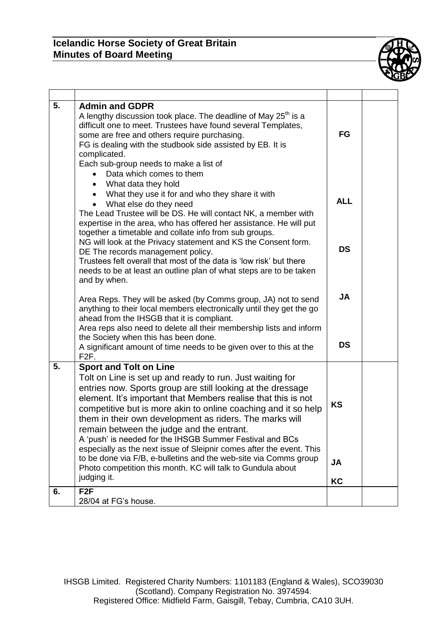## **Icelandic Horse Society of Great Britain Minutes of Board Meeting**



| 5. | <b>Admin and GDPR</b><br>A lengthy discussion took place. The deadline of May 25 <sup>th</sup> is a<br>difficult one to meet. Trustees have found several Templates,<br>some are free and others require purchasing.<br>FG is dealing with the studbook side assisted by EB. It is<br>complicated.<br>Each sub-group needs to make a list of                                                                                                                                                                                                                                                                                                                                | <b>FG</b>              |  |
|----|-----------------------------------------------------------------------------------------------------------------------------------------------------------------------------------------------------------------------------------------------------------------------------------------------------------------------------------------------------------------------------------------------------------------------------------------------------------------------------------------------------------------------------------------------------------------------------------------------------------------------------------------------------------------------------|------------------------|--|
|    | Data which comes to them<br>What data they hold<br>$\bullet$<br>What they use it for and who they share it with<br>What else do they need<br>$\bullet$<br>The Lead Trustee will be DS. He will contact NK, a member with<br>expertise in the area, who has offered her assistance. He will put<br>together a timetable and collate info from sub groups.                                                                                                                                                                                                                                                                                                                    | <b>ALL</b>             |  |
|    | NG will look at the Privacy statement and KS the Consent form.<br>DE The records management policy.<br>Trustees felt overall that most of the data is 'low risk' but there<br>needs to be at least an outline plan of what steps are to be taken<br>and by when.                                                                                                                                                                                                                                                                                                                                                                                                            | <b>DS</b>              |  |
|    | Area Reps. They will be asked (by Comms group, JA) not to send<br>anything to their local members electronically until they get the go<br>ahead from the IHSGB that it is compliant.<br>Area reps also need to delete all their membership lists and inform<br>the Society when this has been done.<br>A significant amount of time needs to be given over to this at the<br>F <sub>2</sub> F.                                                                                                                                                                                                                                                                              | <b>JA</b><br><b>DS</b> |  |
| 5. | <b>Sport and Tolt on Line</b><br>Tolt on Line is set up and ready to run. Just waiting for<br>entries now. Sports group are still looking at the dressage<br>element. It's important that Members realise that this is not<br>competitive but is more akin to online coaching and it so help<br>them in their own development as riders. The marks will<br>remain between the judge and the entrant.<br>A 'push' is needed for the IHSGB Summer Festival and BCs<br>especially as the next issue of Sleipnir comes after the event. This<br>to be done via F/B, e-bulletins and the web-site via Comms group<br>Photo competition this month. KC will talk to Gundula about | <b>KS</b><br><b>JA</b> |  |
|    | judging it.<br>F <sub>2F</sub>                                                                                                                                                                                                                                                                                                                                                                                                                                                                                                                                                                                                                                              | KC                     |  |
| 6. | 28/04 at FG's house.                                                                                                                                                                                                                                                                                                                                                                                                                                                                                                                                                                                                                                                        |                        |  |

IHSGB Limited. Registered Charity Numbers: 1101183 (England & Wales), SCO39030 (Scotland). Company Registration No. 3974594. Registered Office: Midfield Farm, Gaisgill, Tebay, Cumbria, CA10 3UH.